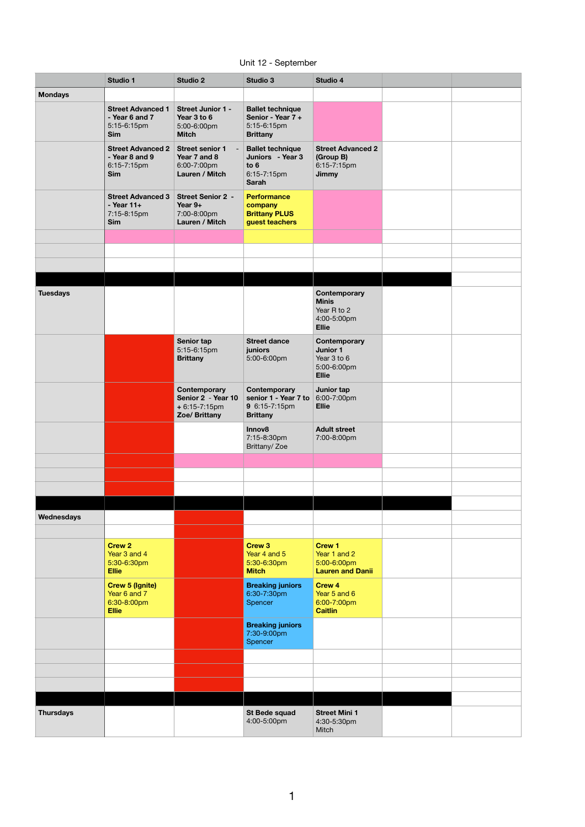Unit 12 - September

|                  | Studio 1                                                                | <b>Studio 2</b>                                                         | Studio 3                                                                                       | Studio 4                                                                   |  |
|------------------|-------------------------------------------------------------------------|-------------------------------------------------------------------------|------------------------------------------------------------------------------------------------|----------------------------------------------------------------------------|--|
| <b>Mondays</b>   |                                                                         |                                                                         |                                                                                                |                                                                            |  |
|                  | <b>Street Advanced 1</b><br>- Year 6 and 7<br>5:15-6:15pm<br><b>Sim</b> | Street Junior 1 -<br>Year 3 to 6<br>5:00-6:00pm<br><b>Mitch</b>         | <b>Ballet technique</b><br>Senior - Year 7 +<br>5:15-6:15pm<br><b>Brittany</b>                 |                                                                            |  |
|                  | <b>Street Advanced 2</b><br>- Year 8 and 9<br>6:15-7:15pm<br><b>Sim</b> | <b>Street senior 1</b><br>Year 7 and 8<br>6:00-7:00pm<br>Lauren / Mitch | <b>Ballet technique</b><br>Juniors - Year 3<br>to 6<br>6:15-7:15pm<br><b>Sarah</b>             | <b>Street Advanced 2</b><br>(Group B)<br>6:15-7:15pm<br><b>Jimmy</b>       |  |
|                  | <b>Street Advanced 3</b><br>- Year 11+<br>7:15-8:15pm<br>Sim            | <b>Street Senior 2 -</b><br>Year 9+<br>7:00-8:00pm<br>Lauren / Mitch    | <b>Performance</b><br>company<br><b>Brittany PLUS</b><br>guest teachers                        |                                                                            |  |
|                  |                                                                         |                                                                         |                                                                                                |                                                                            |  |
|                  |                                                                         |                                                                         |                                                                                                |                                                                            |  |
|                  |                                                                         |                                                                         |                                                                                                |                                                                            |  |
|                  |                                                                         |                                                                         |                                                                                                |                                                                            |  |
| <b>Tuesdays</b>  |                                                                         |                                                                         |                                                                                                | Contemporary<br><b>Minis</b><br>Year R to 2<br>4:00-5:00pm<br><b>Ellie</b> |  |
|                  |                                                                         | Senior tap<br>5:15-6:15pm<br><b>Brittany</b>                            | <b>Street dance</b><br>juniors<br>5:00-6:00pm                                                  | Contemporary<br>Junior 1<br>Year 3 to 6<br>5:00-6:00pm<br><b>Ellie</b>     |  |
|                  |                                                                         | Contemporary<br>Senior 2 - Year 10<br>$+6:15-7:15$ pm<br>Zoe/ Brittany  | Contemporary<br>senior 1 - Year 7 to $6:00-7:00 \text{pm}$<br>9 6:15-7:15pm<br><b>Brittany</b> | Junior tap<br><b>Ellie</b>                                                 |  |
|                  |                                                                         |                                                                         | Innov8<br>7:15-8:30pm<br>Brittany/Zoe                                                          | <b>Adult street</b><br>7:00-8:00pm                                         |  |
|                  |                                                                         |                                                                         |                                                                                                |                                                                            |  |
|                  |                                                                         |                                                                         |                                                                                                |                                                                            |  |
|                  |                                                                         |                                                                         |                                                                                                |                                                                            |  |
|                  |                                                                         |                                                                         |                                                                                                |                                                                            |  |
| Wednesdays       |                                                                         |                                                                         |                                                                                                |                                                                            |  |
|                  |                                                                         |                                                                         |                                                                                                |                                                                            |  |
|                  | <b>Crew 2</b><br>Year 3 and 4<br>5:30-6:30pm<br><b>Ellie</b>            |                                                                         | Crew 3<br>Year 4 and 5<br>5:30-6:30pm<br><b>Mitch</b>                                          | <b>Crew 1</b><br>Year 1 and 2<br>5:00-6:00pm<br><b>Lauren and Danii</b>    |  |
|                  | <b>Crew 5 (Ignite)</b><br>Year 6 and 7<br>6:30-8:00pm<br><b>Ellie</b>   |                                                                         | <b>Breaking juniors</b><br>6:30-7:30pm<br>Spencer                                              | Crew 4<br>Year 5 and 6<br>6:00-7:00pm<br><b>Caitlin</b>                    |  |
|                  |                                                                         |                                                                         | <b>Breaking juniors</b><br>7:30-9:00pm<br>Spencer                                              |                                                                            |  |
|                  |                                                                         |                                                                         |                                                                                                |                                                                            |  |
|                  |                                                                         |                                                                         |                                                                                                |                                                                            |  |
|                  |                                                                         |                                                                         |                                                                                                |                                                                            |  |
| <b>Thursdays</b> |                                                                         |                                                                         | St Bede squad<br>4:00-5:00pm                                                                   | <b>Street Mini 1</b><br>4:30-5:30pm<br>Mitch                               |  |

1